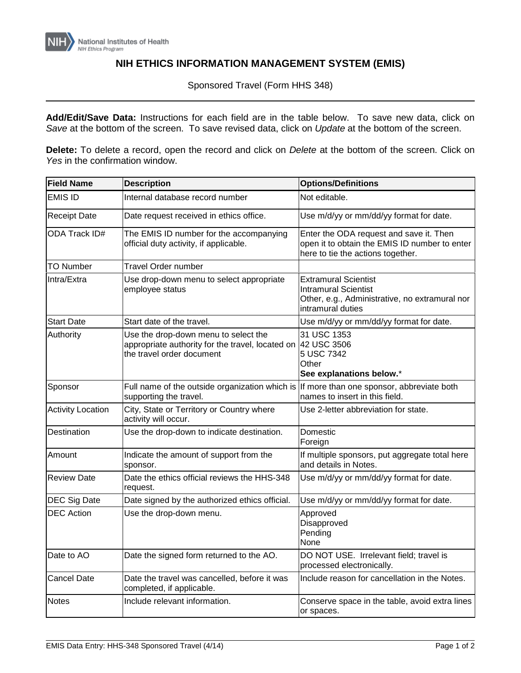

## **NIH ETHICS INFORMATION MANAGEMENT SYSTEM (EMIS)**

Sponsored Travel (Form HHS 348)

**Add/Edit/Save Data:** Instructions for each field are in the table below. To save new data, click on *Save* at the bottom of the screen. To save revised data, click on *Update* at the bottom of the screen.

**Delete:** To delete a record, open the record and click on *Delete* at the bottom of the screen. Click on *Yes* in the confirmation window.

| <b>Field Name</b>        | <b>Description</b>                                                                                                                | <b>Options/Definitions</b>                                                                                                        |
|--------------------------|-----------------------------------------------------------------------------------------------------------------------------------|-----------------------------------------------------------------------------------------------------------------------------------|
| <b>EMIS ID</b>           | Internal database record number                                                                                                   | Not editable.                                                                                                                     |
| <b>Receipt Date</b>      | Date request received in ethics office.                                                                                           | Use m/d/yy or mm/dd/yy format for date.                                                                                           |
| <b>ODA Track ID#</b>     | The EMIS ID number for the accompanying<br>official duty activity, if applicable.                                                 | Enter the ODA request and save it. Then<br>open it to obtain the EMIS ID number to enter<br>here to tie the actions together.     |
| <b>TO Number</b>         | Travel Order number                                                                                                               |                                                                                                                                   |
| Intra/Extra              | Use drop-down menu to select appropriate<br>employee status                                                                       | <b>Extramural Scientist</b><br><b>Intramural Scientist</b><br>Other, e.g., Administrative, no extramural nor<br>intramural duties |
| <b>Start Date</b>        | Start date of the travel.                                                                                                         | Use m/d/yy or mm/dd/yy format for date.                                                                                           |
| Authority                | Use the drop-down menu to select the<br>appropriate authority for the travel, located on 42 USC 3506<br>the travel order document | 31 USC 1353<br>5 USC 7342<br>Other<br>See explanations below.*                                                                    |
| Sponsor                  | Full name of the outside organization which is If more than one sponsor, abbreviate both<br>supporting the travel.                | names to insert in this field.                                                                                                    |
| <b>Activity Location</b> | City, State or Territory or Country where<br>activity will occur.                                                                 | Use 2-letter abbreviation for state.                                                                                              |
| Destination              | Use the drop-down to indicate destination.                                                                                        | Domestic<br>Foreign                                                                                                               |
| Amount                   | Indicate the amount of support from the<br>sponsor.                                                                               | If multiple sponsors, put aggregate total here<br>and details in Notes.                                                           |
| <b>Review Date</b>       | Date the ethics official reviews the HHS-348<br>request.                                                                          | Use m/d/yy or mm/dd/yy format for date.                                                                                           |
| <b>DEC Sig Date</b>      | Date signed by the authorized ethics official.                                                                                    | Use m/d/yy or mm/dd/yy format for date.                                                                                           |
| <b>DEC</b> Action        | Use the drop-down menu.                                                                                                           | Approved<br>Disapproved<br>Pending<br>None                                                                                        |
| Date to AO               | Date the signed form returned to the AO.                                                                                          | DO NOT USE. Irrelevant field; travel is<br>processed electronically.                                                              |
| <b>Cancel Date</b>       | Date the travel was cancelled, before it was<br>completed, if applicable.                                                         | Include reason for cancellation in the Notes.                                                                                     |
| <b>Notes</b>             | Include relevant information.                                                                                                     | Conserve space in the table, avoid extra lines<br>or spaces.                                                                      |